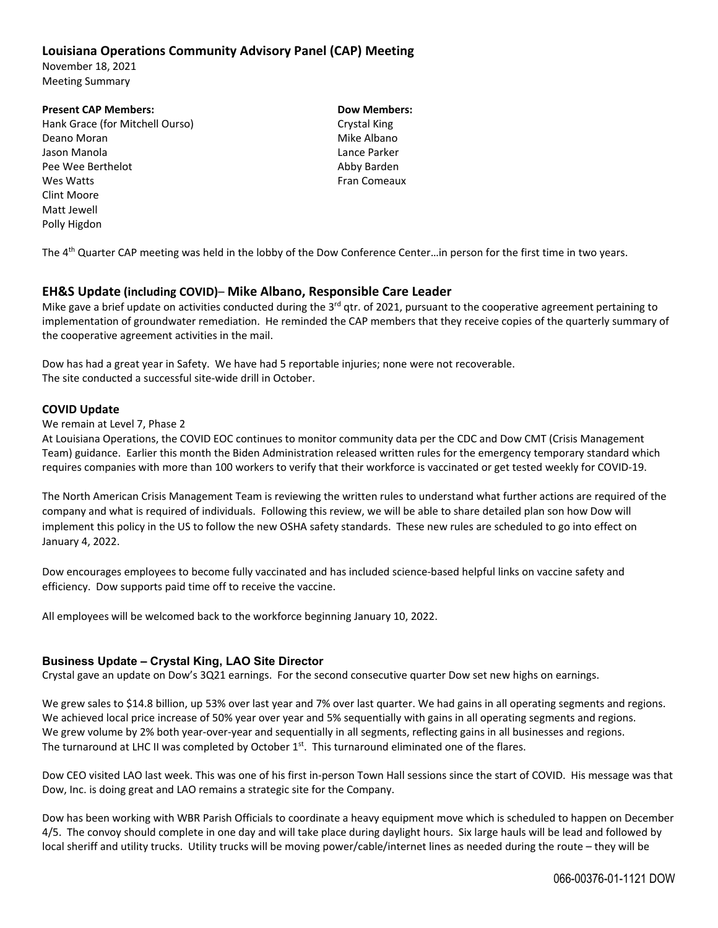# **Louisiana Operations Community Advisory Panel (CAP) Meeting**

November 18, 2021 Meeting Summary

#### **Present CAP Members: Dow Members:**

Hank Grace (for Mitchell Ourso) Crystal King Deano Moran Mike Albano Jason Manola Lance Parker Pee Wee Berthelot **Canadian Control Control Control Control Control Control Control Control Control Control Control Control Control Control Control Control Control Control Control Control Control Control Control Control Co** Wes Watts **Watts COMEAUX WES WATER** Clint Moore Matt Jewell Polly Higdon

The 4<sup>th</sup> Quarter CAP meeting was held in the lobby of the Dow Conference Center...in person for the first time in two years.

### **EH&S Update (including COVID)**– **Mike Albano, Responsible Care Leader**

Mike gave a brief update on activities conducted during the  $3<sup>rd</sup>$  qtr. of 2021, pursuant to the cooperative agreement pertaining to implementation of groundwater remediation. He reminded the CAP members that they receive copies of the quarterly summary of the cooperative agreement activities in the mail.

Dow has had a great year in Safety. We have had 5 reportable injuries; none were not recoverable. The site conducted a successful site‐wide drill in October.

#### **COVID Update**

#### We remain at Level 7, Phase 2

At Louisiana Operations, the COVID EOC continues to monitor community data per the CDC and Dow CMT (Crisis Management Team) guidance. Earlier this month the Biden Administration released written rules for the emergency temporary standard which requires companies with more than 100 workers to verify that their workforce is vaccinated or get tested weekly for COVID‐19.

The North American Crisis Management Team is reviewing the written rules to understand what further actions are required of the company and what is required of individuals. Following this review, we will be able to share detailed plan son how Dow will implement this policy in the US to follow the new OSHA safety standards. These new rules are scheduled to go into effect on January 4, 2022.

Dow encourages employees to become fully vaccinated and has included science-based helpful links on vaccine safety and efficiency. Dow supports paid time off to receive the vaccine.

All employees will be welcomed back to the workforce beginning January 10, 2022.

### **Business Update – Crystal King, LAO Site Director**

Crystal gave an update on Dow's 3Q21 earnings. For the second consecutive quarter Dow set new highs on earnings.

We grew sales to \$14.8 billion, up 53% over last year and 7% over last quarter. We had gains in all operating segments and regions. We achieved local price increase of 50% year over year and 5% sequentially with gains in all operating segments and regions. We grew volume by 2% both year-over-year and sequentially in all segments, reflecting gains in all businesses and regions. The turnaround at LHC II was completed by October 1<sup>st</sup>. This turnaround eliminated one of the flares.

Dow CEO visited LAO last week. This was one of his first in‐person Town Hall sessions since the start of COVID. His message was that Dow, Inc. is doing great and LAO remains a strategic site for the Company.

Dow has been working with WBR Parish Officials to coordinate a heavy equipment move which is scheduled to happen on December 4/5. The convoy should complete in one day and will take place during daylight hours. Six large hauls will be lead and followed by local sheriff and utility trucks. Utility trucks will be moving power/cable/internet lines as needed during the route – they will be